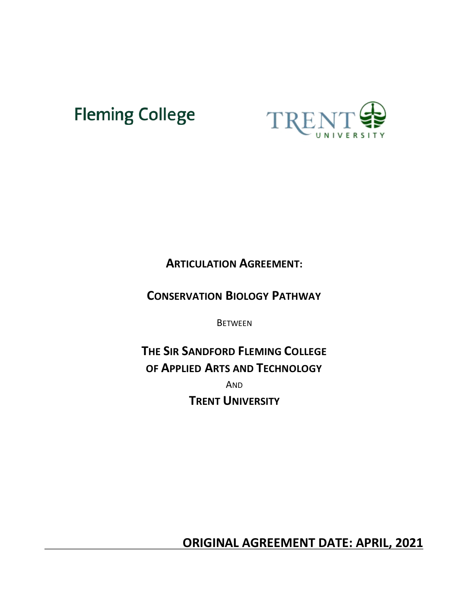# **Fleming College**



# **ARTICULATION AGREEMENT:**

# **CONSERVATION BIOLOGY PATHWAY**

**BETWEEN** 

**THE SIR SANDFORD FLEMING COLLEGE OF APPLIED ARTS AND TECHNOLOGY** AND **TRENT UNIVERSITY**

 **ORIGINAL AGREEMENT DATE: APRIL, 2021**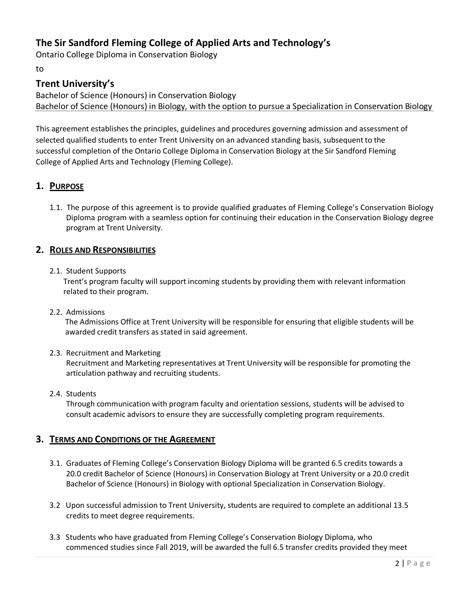# **The Sir Sandford Fleming College of Applied Arts and Technology's**

Ontario College Diploma in Conservation Biology

to

# **Trent University's**

Bachelor of Science (Honours) in Conservation Biology Bachelor of Science (Honours) in Biology, with the option to pursue a Specialization in Conservation Biology

This agreement establishes the principles, guidelines and procedures governing admission and assessment of selected qualified students to enter Trent University on an advanced standing basis, subsequent to the successful completion of the Ontario College Diploma in Conservation Biology at the Sir Sandford Fleming College of Applied Arts and Technology (Fleming College).

### **1. PURPOSE**

1.1. The purpose of this agreement is to provide qualified graduates of Fleming College's Conservation Biology Diploma program with a seamless option for continuing their education in the Conservation Biology degree program at Trent University.

#### **2. ROLES AND RESPONSIBILITIES**

#### 2.1. Student Supports

Trent's program faculty will support incoming students by providing them with relevant information related to their program.

#### 2.2. Admissions

The Admissions Office at Trent University will be responsible for ensuring that eligible students will be awarded credit transfers as stated in said agreement.

#### 2.3. Recruitment and Marketing

Recruitment and Marketing representatives at Trent University will be responsible for promoting the articulation pathway and recruiting students.

#### 2.4. Students

Through communication with program faculty and orientation sessions, students will be advised to consult academic advisors to ensure they are successfully completing program requirements.

#### **3. TERMS AND CONDITIONS OF THE AGREEMENT**

- 3.1. Graduates of Fleming College's Conservation Biology Diploma will be granted 6.5 credits towards a 20.0 credit Bachelor of Science (Honours) in Conservation Biology at Trent University or a 20.0 credit Bachelor of Science (Honours) in Biology with optional Specialization in Conservation Biology.
- 3.2 Upon successful admission to Trent University, students are required to complete an additional 13.5 credits to meet degree requirements.
- 3.3 Students who have graduated from Fleming College's Conservation Biology Diploma, who commenced studies since Fall 2019, will be awarded the full 6.5 transfer credits provided they meet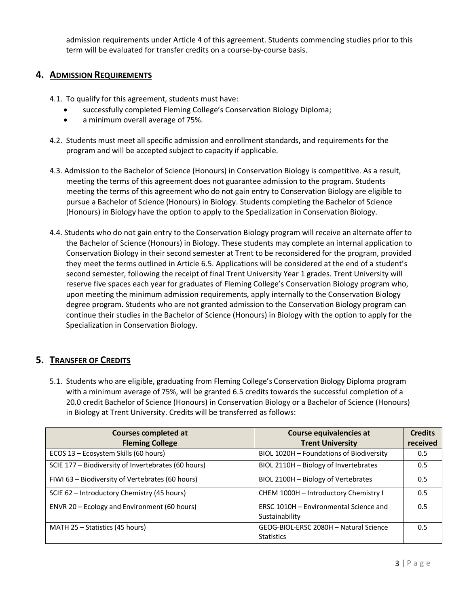admission requirements under Article 4 of this agreement. Students commencing studies prior to this term will be evaluated for transfer credits on a course-by-course basis.

#### **4. ADMISSION REQUIREMENTS**

- 4.1. To qualify for this agreement, students must have:
	- successfully completed Fleming College's Conservation Biology Diploma;
	- a minimum overall average of 75%.
- 4.2. Students must meet all specific admission and enrollment standards, and requirements for the program and will be accepted subject to capacity if applicable.
- 4.3. Admission to the Bachelor of Science (Honours) in Conservation Biology is competitive. As a result, meeting the terms of this agreement does not guarantee admission to the program. Students meeting the terms of this agreement who do not gain entry to Conservation Biology are eligible to pursue a Bachelor of Science (Honours) in Biology. Students completing the Bachelor of Science (Honours) in Biology have the option to apply to the Specialization in Conservation Biology.
- 4.4. Students who do not gain entry to the Conservation Biology program will receive an alternate offer to the Bachelor of Science (Honours) in Biology. These students may complete an internal application to Conservation Biology in their second semester at Trent to be reconsidered for the program, provided they meet the terms outlined in Article 6.5. Applications will be considered at the end of a student's second semester, following the receipt of final Trent University Year 1 grades. Trent University will reserve five spaces each year for graduates of Fleming College's Conservation Biology program who, upon meeting the minimum admission requirements, apply internally to the Conservation Biology degree program. Students who are not granted admission to the Conservation Biology program can continue their studies in the Bachelor of Science (Honours) in Biology with the option to apply for the Specialization in Conservation Biology.

#### **5. TRANSFER OF CREDITS**

5.1. Students who are eligible, graduating from Fleming College's Conservation Biology Diploma program with a minimum average of 75%, will be granted 6.5 credits towards the successful completion of a 20.0 credit Bachelor of Science (Honours) in Conservation Biology or a Bachelor of Science (Honours) in Biology at Trent University. Credits will be transferred as follows:

| <b>Courses completed at</b>                         | Course equivalencies at                                     | <b>Credits</b> |
|-----------------------------------------------------|-------------------------------------------------------------|----------------|
| <b>Fleming College</b>                              | <b>Trent University</b>                                     | received       |
| ECOS 13 - Ecosystem Skills (60 hours)               | BIOL 1020H - Foundations of Biodiversity                    | 0.5            |
| SCIE 177 - Biodiversity of Invertebrates (60 hours) | BIOL 2110H - Biology of Invertebrates                       | 0.5            |
| FIWI 63 - Biodiversity of Vertebrates (60 hours)    | BIOL 2100H - Biology of Vertebrates                         | 0.5            |
| SCIE 62 - Introductory Chemistry (45 hours)         | CHEM 1000H - Introductory Chemistry I                       | 0.5            |
| ENVR 20 - Ecology and Environment (60 hours)        | ERSC 1010H - Environmental Science and<br>Sustainability    | 0.5            |
| MATH 25 – Statistics (45 hours)                     | GEOG-BIOL-ERSC 2080H - Natural Science<br><b>Statistics</b> | 0.5            |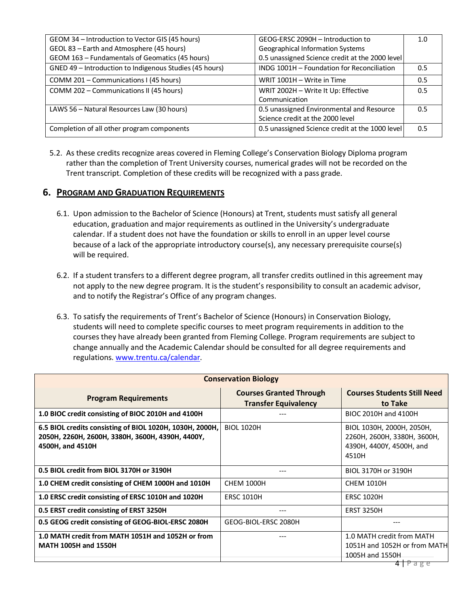| GEOM 34 - Introduction to Vector GIS (45 hours)         | GEOG-ERSC 2090H - Introduction to               | 1.0 |
|---------------------------------------------------------|-------------------------------------------------|-----|
| GEOL 83 - Earth and Atmosphere (45 hours)               | <b>Geographical Information Systems</b>         |     |
| GEOM 163 - Fundamentals of Geomatics (45 hours)         | 0.5 unassigned Science credit at the 2000 level |     |
| GNED 49 - Introduction to Indigenous Studies (45 hours) | INDG 1001H - Foundation for Reconciliation      | 0.5 |
| COMM 201 – Communications I (45 hours)                  | WRIT 1001H - Write in Time                      | 0.5 |
| COMM 202 - Communications II (45 hours)                 | WRIT 2002H - Write It Up: Effective             | 0.5 |
|                                                         | Communication                                   |     |
| LAWS 56 - Natural Resources Law (30 hours)              | 0.5 unassigned Environmental and Resource       | 0.5 |
|                                                         | Science credit at the 2000 level                |     |
| Completion of all other program components              | 0.5 unassigned Science credit at the 1000 level | 0.5 |

5.2. As these credits recognize areas covered in Fleming College's Conservation Biology Diploma program rather than the completion of Trent University courses, numerical grades will not be recorded on the Trent transcript. Completion of these credits will be recognized with a pass grade.

#### **6. PROGRAM AND GRADUATION REQUIREMENTS**

- 6.1. Upon admission to the Bachelor of Science (Honours) at Trent, students must satisfy all general education, graduation and major requirements as outlined in the University's undergraduate calendar. If a student does not have the foundation or skills to enroll in an upper level course because of a lack of the appropriate introductory course(s), any necessary prerequisite course(s) will be required.
- 6.2. If a student transfers to a different degree program, all transfer credits outlined in this agreement may not apply to the new degree program. It is the student's responsibility to consult an academic advisor, and to notify the Registrar's Office of any program changes.
- 6.3. To satisfy the requirements of Trent's Bachelor of Science (Honours) in Conservation Biology, students will need to complete specific courses to meet program requirements in addition to the courses they have already been granted from Fleming College. Program requirements are subject to change annually and the Academic Calendar should be consulted for all degree requirements and regulations. [www.trentu.ca/calendar.](http://www.trentu.ca/calendar)

| <b>Conservation Biology</b>                                                                                                      |                                                               |                                                                                               |
|----------------------------------------------------------------------------------------------------------------------------------|---------------------------------------------------------------|-----------------------------------------------------------------------------------------------|
| <b>Program Requirements</b>                                                                                                      | <b>Courses Granted Through</b><br><b>Transfer Equivalency</b> | <b>Courses Students Still Need</b><br>to Take                                                 |
| 1.0 BIOC credit consisting of BIOC 2010H and 4100H                                                                               |                                                               | BIOC 2010H and 4100H                                                                          |
| 6.5 BIOL credits consisting of BIOL 1020H, 1030H, 2000H,<br>2050Н, 2260Н, 2600Н, 3380Н, 3600Н, 4390Н, 4400Ү,<br>4500H, and 4510H | <b>BIOL 1020H</b>                                             | BIOL 1030H, 2000H, 2050H,<br>2260Н, 2600Н, 3380Н, 3600Н,<br>4390H, 4400Y, 4500H, and<br>4510H |
| 0.5 BIOL credit from BIOL 3170H or 3190H                                                                                         |                                                               | BIOL 3170H or 3190H                                                                           |
| 1.0 CHEM credit consisting of CHEM 1000H and 1010H                                                                               | <b>CHEM 1000H</b>                                             | <b>CHEM 1010H</b>                                                                             |
| 1.0 ERSC credit consisting of ERSC 1010H and 1020H                                                                               | <b>ERSC 1010H</b>                                             | <b>ERSC 1020H</b>                                                                             |
| 0.5 ERST credit consisting of ERST 3250H                                                                                         |                                                               | <b>ERST 3250H</b>                                                                             |
| 0.5 GEOG credit consisting of GEOG-BIOL-ERSC 2080H                                                                               | GEOG-BIOL-ERSC 2080H                                          |                                                                                               |
| 1.0 MATH credit from MATH 1051H and 1052H or from<br><b>MATH 1005H and 1550H</b>                                                 |                                                               | 1.0 MATH credit from MATH<br>1051H and 1052H or from MATH<br>1005H and 1550H                  |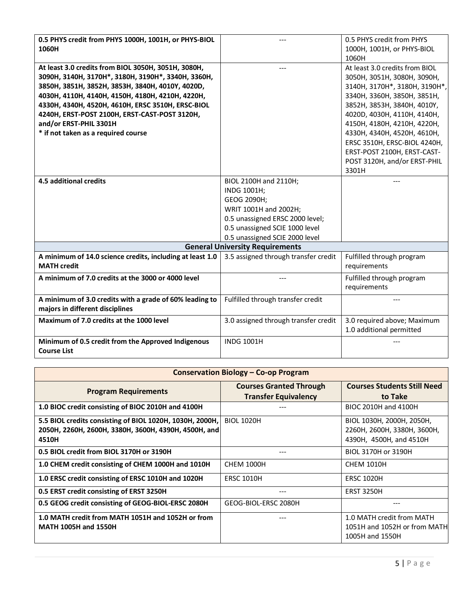| 0.5 PHYS credit from PHYS 1000H, 1001H, or PHYS-BIOL      |                                        | 0.5 PHYS credit from PHYS      |
|-----------------------------------------------------------|----------------------------------------|--------------------------------|
| 1060H                                                     |                                        | 1000H, 1001H, or PHYS-BIOL     |
|                                                           |                                        | 1060H                          |
| At least 3.0 credits from BIOL 3050H, 3051H, 3080H,       |                                        | At least 3.0 credits from BIOL |
| 3090Н, 3140Н, 3170Н*, 3180Н, 3190Н*, 3340Н, 3360Н,        |                                        | 3050Н, 3051Н, 3080Н, 3090Н,    |
| 3850H, 3851H, 3852H, 3853H, 3840H, 4010Y, 4020D,          |                                        | 3140H, 3170H*, 3180H, 3190H*,  |
| 4030Н, 4110Н, 4140Н, 4150Н, 4180Н, 4210Н, 4220Н,          |                                        | 3340H, 3360H, 3850H, 3851H,    |
| 4330H, 4340H, 4520H, 4610H, ERSC 3510H, ERSC-BIOL         |                                        | 3852H, 3853H, 3840H, 4010Y,    |
| 4240H, ERST-POST 2100H, ERST-CAST-POST 3120H,             |                                        | 4020D, 4030H, 4110H, 4140H,    |
| and/or ERST-PHIL 3301H                                    |                                        | 4150H, 4180H, 4210H, 4220H,    |
| * if not taken as a required course                       |                                        | 4330H, 4340H, 4520H, 4610H,    |
|                                                           |                                        | ERSC 3510H, ERSC-BIOL 4240H,   |
|                                                           |                                        | ERST-POST 2100H, ERST-CAST-    |
|                                                           |                                        | POST 3120H, and/or ERST-PHIL   |
|                                                           |                                        | 3301H                          |
| 4.5 additional credits                                    | BIOL 2100H and 2110H;                  |                                |
|                                                           | INDG 1001H;                            |                                |
|                                                           | GEOG 2090H;                            |                                |
|                                                           | WRIT 1001H and 2002H;                  |                                |
|                                                           | 0.5 unassigned ERSC 2000 level;        |                                |
|                                                           | 0.5 unassigned SCIE 1000 level         |                                |
|                                                           | 0.5 unassigned SCIE 2000 level         |                                |
|                                                           | <b>General University Requirements</b> |                                |
| A minimum of 14.0 science credits, including at least 1.0 | 3.5 assigned through transfer credit   | Fulfilled through program      |
| <b>MATH credit</b>                                        |                                        | requirements                   |
| A minimum of 7.0 credits at the 3000 or 4000 level        |                                        | Fulfilled through program      |
|                                                           |                                        | requirements                   |
| A minimum of 3.0 credits with a grade of 60% leading to   | Fulfilled through transfer credit      | ---                            |
| majors in different disciplines                           |                                        |                                |
| Maximum of 7.0 credits at the 1000 level                  | 3.0 assigned through transfer credit   | 3.0 required above; Maximum    |
|                                                           |                                        | 1.0 additional permitted       |
| Minimum of 0.5 credit from the Approved Indigenous        | <b>INDG 1001H</b>                      |                                |
| <b>Course List</b>                                        |                                        |                                |

| <b>Conservation Biology - Co-op Program</b>                                                                               |                                                               |                                                                                     |
|---------------------------------------------------------------------------------------------------------------------------|---------------------------------------------------------------|-------------------------------------------------------------------------------------|
| <b>Program Requirements</b>                                                                                               | <b>Courses Granted Through</b><br><b>Transfer Equivalency</b> | <b>Courses Students Still Need</b><br>to Take                                       |
| 1.0 BIOC credit consisting of BIOC 2010H and 4100H                                                                        |                                                               | BIOC 2010H and 4100H                                                                |
| 5.5 BIOL credits consisting of BIOL 1020H, 1030H, 2000H,<br>2050H, 2260H, 2600H, 3380H, 3600H, 4390H, 4500H, and<br>4510H | <b>BIOL 1020H</b>                                             | BIOL 1030H, 2000H, 2050H,<br>2260Н, 2600Н, 3380Н, 3600Н,<br>4390H, 4500H, and 4510H |
| 0.5 BIOL credit from BIOL 3170H or 3190H                                                                                  | $---$                                                         | BIOL 3170H or 3190H                                                                 |
| 1.0 CHEM credit consisting of CHEM 1000H and 1010H                                                                        | <b>CHEM 1000H</b>                                             | <b>CHEM 1010H</b>                                                                   |
| 1.0 ERSC credit consisting of ERSC 1010H and 1020H                                                                        | <b>ERSC 1010H</b>                                             | <b>ERSC 1020H</b>                                                                   |
| 0.5 ERST credit consisting of ERST 3250H                                                                                  |                                                               | <b>ERST 3250H</b>                                                                   |
| 0.5 GEOG credit consisting of GEOG-BIOL-ERSC 2080H                                                                        | GEOG-BIOL-ERSC 2080H                                          | ---                                                                                 |
| 1.0 MATH credit from MATH 1051H and 1052H or from<br><b>MATH 1005H and 1550H</b>                                          |                                                               | 1.0 MATH credit from MATH<br>1051H and 1052H or from MATH<br>1005H and 1550H        |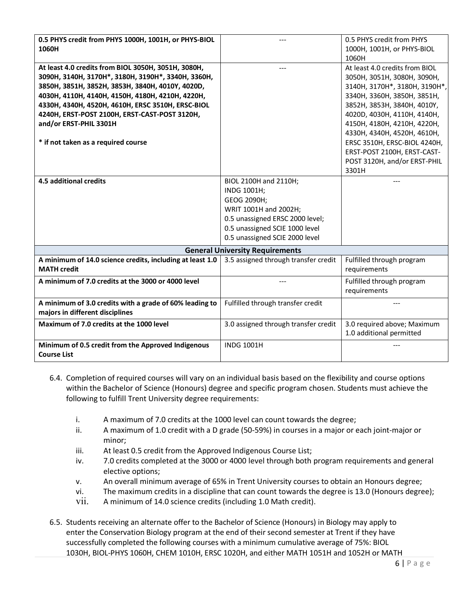| 0.5 PHYS credit from PHYS 1000H, 1001H, or PHYS-BIOL                            |                                        | 0.5 PHYS credit from PHYS      |
|---------------------------------------------------------------------------------|----------------------------------------|--------------------------------|
| 1060H                                                                           |                                        | 1000H, 1001H, or PHYS-BIOL     |
|                                                                                 |                                        | 1060H                          |
| At least 4.0 credits from BIOL 3050H, 3051H, 3080H,                             |                                        | At least 4.0 credits from BIOL |
| 3090Н, 3140Н, 3170Н*, 3180Н, 3190Н*, 3340Н, 3360Н,                              |                                        | 3050H, 3051H, 3080H, 3090H,    |
| 3850H, 3851H, 3852H, 3853H, 3840H, 4010Y, 4020D,                                |                                        | 3140H, 3170H*, 3180H, 3190H*,  |
| 4030Н, 4110Н, 4140Н, 4150Н, 4180Н, 4210Н, 4220Н,                                |                                        | 3340H, 3360H, 3850H, 3851H,    |
| 4330H, 4340H, 4520H, 4610H, ERSC 3510H, ERSC-BIOL                               |                                        | 3852H, 3853H, 3840H, 4010Y,    |
| 4240H, ERST-POST 2100H, ERST-CAST-POST 3120H,                                   |                                        | 4020D, 4030H, 4110H, 4140H,    |
| and/or ERST-PHIL 3301H                                                          |                                        | 4150H, 4180H, 4210H, 4220H,    |
|                                                                                 |                                        | 4330H, 4340H, 4520H, 4610H,    |
| * if not taken as a required course                                             |                                        | ERSC 3510H, ERSC-BIOL 4240H,   |
|                                                                                 |                                        | ERST-POST 2100H, ERST-CAST-    |
|                                                                                 |                                        | POST 3120H, and/or ERST-PHIL   |
|                                                                                 |                                        | 3301H                          |
| 4.5 additional credits                                                          | BIOL 2100H and 2110H;                  |                                |
|                                                                                 | INDG 1001H;                            |                                |
|                                                                                 | GEOG 2090H;                            |                                |
|                                                                                 | WRIT 1001H and 2002H;                  |                                |
|                                                                                 | 0.5 unassigned ERSC 2000 level;        |                                |
|                                                                                 | 0.5 unassigned SCIE 1000 level         |                                |
|                                                                                 | 0.5 unassigned SCIE 2000 level         |                                |
|                                                                                 | <b>General University Requirements</b> |                                |
| A minimum of 14.0 science credits, including at least 1.0<br><b>MATH credit</b> | 3.5 assigned through transfer credit   | Fulfilled through program      |
|                                                                                 |                                        | requirements                   |
| A minimum of 7.0 credits at the 3000 or 4000 level                              |                                        | Fulfilled through program      |
|                                                                                 |                                        | requirements                   |
| A minimum of 3.0 credits with a grade of 60% leading to                         | Fulfilled through transfer credit      |                                |
| majors in different disciplines                                                 |                                        |                                |
| Maximum of 7.0 credits at the 1000 level                                        | 3.0 assigned through transfer credit   | 3.0 required above; Maximum    |
|                                                                                 |                                        | 1.0 additional permitted       |
| Minimum of 0.5 credit from the Approved Indigenous                              | <b>INDG 1001H</b>                      |                                |
| <b>Course List</b>                                                              |                                        |                                |

- 6.4. Completion of required courses will vary on an individual basis based on the flexibility and course options within the Bachelor of Science (Honours) degree and specific program chosen. Students must achieve the following to fulfill Trent University degree requirements:
	- i. A maximum of 7.0 credits at the 1000 level can count towards the degree;
	- ii. A maximum of 1.0 credit with a D grade (50-59%) in courses in a major or each joint-major or minor;
	- iii. At least 0.5 credit from the Approved Indigenous Course List;
	- iv. 7.0 credits completed at the 3000 or 4000 level through both program requirements and general elective options;
	- v. An overall minimum average of 65% in Trent University courses to obtain an Honours degree;
	- vi. The maximum credits in a discipline that can count towards the degree is 13.0 (Honours degree);
	- vii. A minimum of 14.0 science credits (including 1.0 Math credit).
- 6.5. Students receiving an alternate offer to the Bachelor of Science (Honours) in Biology may apply to enter the Conservation Biology program at the end of their second semester at Trent if they have successfully completed the following courses with a minimum cumulative average of 75%: BIOL 1030H, BIOL-PHYS 1060H, CHEM 1010H, ERSC 1020H, and either MATH 1051H and 1052H or MATH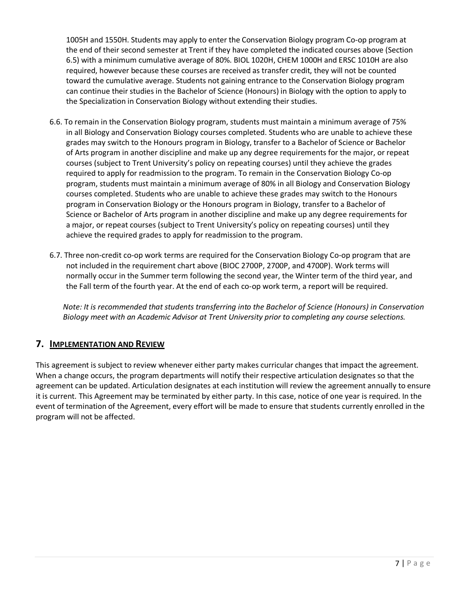1005H and 1550H. Students may apply to enter the Conservation Biology program Co-op program at the end of their second semester at Trent if they have completed the indicated courses above (Section 6.5) with a minimum cumulative average of 80%. BIOL 1020H, CHEM 1000H and ERSC 1010H are also required, however because these courses are received as transfer credit, they will not be counted toward the cumulative average. Students not gaining entrance to the Conservation Biology program can continue their studies in the Bachelor of Science (Honours) in Biology with the option to apply to the Specialization in Conservation Biology without extending their studies.

- 6.6. To remain in the Conservation Biology program, students must maintain a minimum average of 75% in all Biology and Conservation Biology courses completed. Students who are unable to achieve these grades may switch to the Honours program in Biology, transfer to a Bachelor of Science or Bachelor of Arts program in another discipline and make up any degree requirements for the major, or repeat courses (subject to Trent University's policy on repeating courses) until they achieve the grades required to apply for readmission to the program. To remain in the Conservation Biology Co-op program, students must maintain a minimum average of 80% in all Biology and Conservation Biology courses completed. Students who are unable to achieve these grades may switch to the Honours program in Conservation Biology or the Honours program in Biology, transfer to a Bachelor of Science or Bachelor of Arts program in another discipline and make up any degree requirements for a major, or repeat courses (subject to Trent University's policy on repeating courses) until they achieve the required grades to apply for readmission to the program.
- 6.7. Three non-credit co-op work terms are required for the Conservation Biology Co-op program that are not included in the requirement chart above (BIOC 2700P, 2700P, and 4700P). Work terms will normally occur in the Summer term following the second year, the Winter term of the third year, and the Fall term of the fourth year. At the end of each co-op work term, a report will be required.

*Note: It is recommended that students transferring into the Bachelor of Science (Honours) in Conservation Biology meet with an Academic Advisor at Trent University prior to completing any course selections.*

#### **7. IMPLEMENTATION AND REVIEW**

This agreement is subject to review whenever either party makes curricular changes that impact the agreement. When a change occurs, the program departments will notify their respective articulation designates so that the agreement can be updated. Articulation designates at each institution will review the agreement annually to ensure it is current. This Agreement may be terminated by either party. In this case, notice of one year is required. In the event of termination of the Agreement, every effort will be made to ensure that students currently enrolled in the program will not be affected.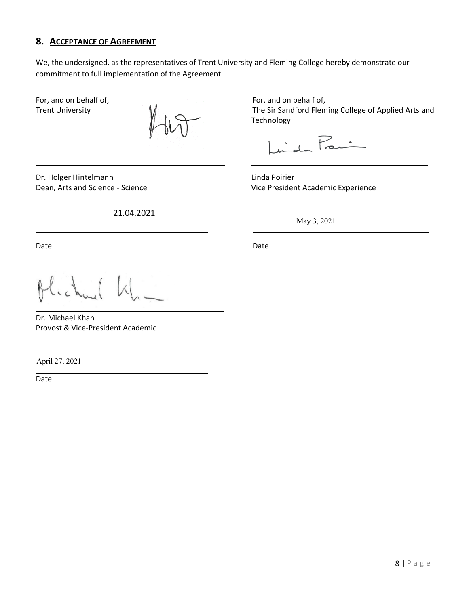### **8. ACCEPTANCE OF AGREEMENT**

We, the undersigned, as the representatives of Trent University and Fleming College hereby demonstrate our commitment to full implementation of the Agreement.

Dr. Holger Hintelmann Linda Poirier

21.04.2021

For, and on behalf of, The Equipment of For, and on behalf of, Trent University **Trent University** The Sir Sandford Fleming College of Applied Arts and Technology

 $\int_{rad}$  Pai

Dean, Arts and Science - Science Vice President Academic Experience

May 3, 2021

Date **Date** Date **Date** Date **Date** Date **Date** 

Dr. Michael Khan Provost & Vice-President Academic

April 27, 2021

**Date**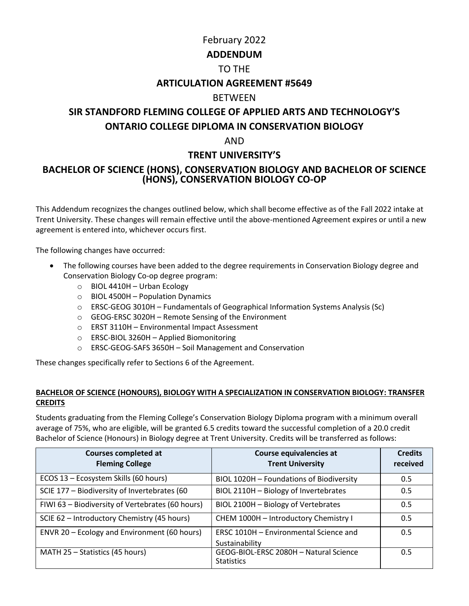# February 2022 **ADDENDUM** TO THE **ARTICULATION AGREEMENT #5649** BETWEEN **SIR STANDFORD FLEMING COLLEGE OF APPLIED ARTS AND TECHNOLOGY'S ONTARIO COLLEGE DIPLOMA IN CONSERVATION BIOLOGY** AND

## **TRENT UNIVERSITY'S**

### **BACHELOR OF SCIENCE (HONS), CONSERVATION BIOLOGY AND BACHELOR OF SCIENCE (HONS), CONSERVATION BIOLOGY CO-OP**

This Addendum recognizes the changes outlined below, which shall become effective as of the Fall 2022 intake at Trent University. These changes will remain effective until the above-mentioned Agreement expires or until a new agreement is entered into, whichever occurs first.

The following changes have occurred:

- The following courses have been added to the degree requirements in Conservation Biology degree and Conservation Biology Co-op degree program:
	- o BIOL 4410H Urban Ecology
	- $\circ$  BIOL 4500H Population Dynamics
	- $\circ$  ERSC-GEOG 3010H Fundamentals of Geographical Information Systems Analysis (Sc)
	- o GEOG-ERSC 3020H Remote Sensing of the Environment
	- o ERST 3110H Environmental Impact Assessment
	- o ERSC-BIOL 3260H Applied Biomonitoring
	- o ERSC-GEOG-SAFS 3650H Soil Management and Conservation

These changes specifically refer to Sections 6 of the Agreement.

#### **BACHELOR OF SCIENCE (HONOURS), BIOLOGY WITH A SPECIALIZATION IN CONSERVATION BIOLOGY: TRANSFER CREDITS**

Students graduating from the Fleming College's Conservation Biology Diploma program with a minimum overall average of 75%, who are eligible, will be granted 6.5 credits toward the successful completion of a 20.0 credit Bachelor of Science (Honours) in Biology degree at Trent University. Credits will be transferred as follows:

| <b>Courses completed at</b><br><b>Fleming College</b> | Course equivalencies at<br><b>Trent University</b>          | <b>Credits</b><br>received |
|-------------------------------------------------------|-------------------------------------------------------------|----------------------------|
| ECOS 13 - Ecosystem Skills (60 hours)                 | BIOL 1020H - Foundations of Biodiversity                    | 0.5                        |
| SCIE 177 - Biodiversity of Invertebrates (60          | BIOL 2110H - Biology of Invertebrates                       | 0.5                        |
| FIWI 63 - Biodiversity of Vertebrates (60 hours)      | BIOL 2100H - Biology of Vertebrates                         | 0.5                        |
| SCIE 62 - Introductory Chemistry (45 hours)           | CHEM 1000H - Introductory Chemistry I                       | 0.5                        |
| ENVR 20 - Ecology and Environment (60 hours)          | ERSC 1010H - Environmental Science and<br>Sustainability    | 0.5                        |
| MATH 25 - Statistics (45 hours)                       | GEOG-BIOL-ERSC 2080H - Natural Science<br><b>Statistics</b> | 0.5                        |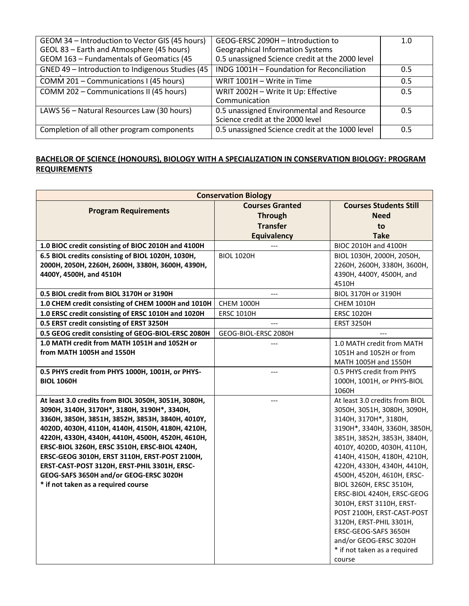| GEOM 34 - Introduction to Vector GIS (45 hours)  | GEOG-ERSC 2090H - Introduction to               | 1.0 |
|--------------------------------------------------|-------------------------------------------------|-----|
| GEOL 83 - Earth and Atmosphere (45 hours)        | <b>Geographical Information Systems</b>         |     |
| GEOM 163 - Fundamentals of Geomatics (45         | 0.5 unassigned Science credit at the 2000 level |     |
| GNED 49 - Introduction to Indigenous Studies (45 | INDG 1001H - Foundation for Reconciliation      | 0.5 |
| COMM 201 - Communications I (45 hours)           | WRIT 1001H - Write in Time                      | 0.5 |
| COMM 202 - Communications II (45 hours)          | WRIT 2002H - Write It Up: Effective             | 0.5 |
|                                                  | Communication                                   |     |
| LAWS 56 - Natural Resources Law (30 hours)       | 0.5 unassigned Environmental and Resource       | 0.5 |
|                                                  | Science credit at the 2000 level                |     |
| Completion of all other program components       | 0.5 unassigned Science credit at the 1000 level | 0.5 |

#### **BACHELOR OF SCIENCE (HONOURS), BIOLOGY WITH A SPECIALIZATION IN CONSERVATION BIOLOGY: PROGRAM REQUIREMENTS**

| <b>Conservation Biology</b>                                                                     |                        |                                                      |
|-------------------------------------------------------------------------------------------------|------------------------|------------------------------------------------------|
| <b>Program Requirements</b>                                                                     | <b>Courses Granted</b> | <b>Courses Students Still</b>                        |
|                                                                                                 | <b>Through</b>         | <b>Need</b>                                          |
|                                                                                                 | <b>Transfer</b>        | to                                                   |
|                                                                                                 | <b>Equivalency</b>     | <b>Take</b>                                          |
| 1.0 BIOC credit consisting of BIOC 2010H and 4100H                                              |                        | BIOC 2010H and 4100H                                 |
| 6.5 BIOL credits consisting of BIOL 1020H, 1030H,                                               | <b>BIOL 1020H</b>      | BIOL 1030H, 2000H, 2050H,                            |
| 2000Н, 2050Н, 2260Н, 2600Н, 3380Н, 3600Н, 4390Н,                                                |                        | 2260H, 2600H, 3380H, 3600H,                          |
| 4400Y, 4500H, and 4510H                                                                         |                        | 4390H, 4400Y, 4500H, and                             |
|                                                                                                 |                        | 4510H                                                |
| 0.5 BIOL credit from BIOL 3170H or 3190H                                                        |                        | BIOL 3170H or 3190H                                  |
| 1.0 CHEM credit consisting of CHEM 1000H and 1010H                                              | <b>CHEM 1000H</b>      | <b>CHEM 1010H</b>                                    |
| 1.0 ERSC credit consisting of ERSC 1010H and 1020H                                              | <b>ERSC 1010H</b>      | <b>ERSC 1020H</b>                                    |
| 0.5 ERST credit consisting of ERST 3250H                                                        |                        | <b>ERST 3250H</b>                                    |
| 0.5 GEOG credit consisting of GEOG-BIOL-ERSC 2080H                                              | GEOG-BIOL-ERSC 2080H   |                                                      |
| 1.0 MATH credit from MATH 1051H and 1052H or                                                    |                        | 1.0 MATH credit from MATH                            |
| from MATH 1005H and 1550H                                                                       |                        | 1051H and 1052H or from                              |
|                                                                                                 |                        | MATH 1005H and 1550H                                 |
| 0.5 PHYS credit from PHYS 1000H, 1001H, or PHYS-                                                |                        | 0.5 PHYS credit from PHYS                            |
| <b>BIOL 1060H</b>                                                                               |                        | 1000H, 1001H, or PHYS-BIOL                           |
|                                                                                                 |                        | 1060H                                                |
| At least 3.0 credits from BIOL 3050H, 3051H, 3080H,                                             | ---                    | At least 3.0 credits from BIOL                       |
| 3090Н, 3140Н, 3170Н*, 3180Н, 3190Н*, 3340Н,<br>3360H, 3850H, 3851H, 3852H, 3853H, 3840H, 4010Y, |                        | 3050Н, 3051Н, 3080Н, 3090Н,<br>3140H, 3170H*, 3180H, |
| 4020D, 4030H, 4110H, 4140H, 4150H, 4180H, 4210H,                                                |                        | 3190H*, 3340H, 3360H, 3850H,                         |
| 4220Н, 4330Н, 4340Н, 4410Н, 4500Н, 4520Н, 4610Н,                                                |                        | 3851H, 3852H, 3853H, 3840H,                          |
| ERSC-BIOL 3260H, ERSC 3510H, ERSC-BIOL 4240H,                                                   |                        | 4010Y, 4020D, 4030H, 4110H,                          |
| ERSC-GEOG 3010H, ERST 3110H, ERST-POST 2100H,                                                   |                        | 4140H, 4150H, 4180H, 4210H,                          |
| ERST-CAST-POST 3120H, ERST-PHIL 3301H, ERSC-                                                    |                        | 4220H, 4330H, 4340H, 4410H,                          |
| GEOG-SAFS 3650H and/or GEOG-ERSC 3020H                                                          |                        | 4500H, 4520H, 4610H, ERSC-                           |
| * if not taken as a required course                                                             |                        | BIOL 3260H, ERSC 3510H,                              |
|                                                                                                 |                        | ERSC-BIOL 4240H, ERSC-GEOG                           |
|                                                                                                 |                        | 3010H, ERST 3110H, ERST-                             |
|                                                                                                 |                        | POST 2100H, ERST-CAST-POST                           |
|                                                                                                 |                        | 3120H, ERST-PHIL 3301H,                              |
|                                                                                                 |                        | ERSC-GEOG-SAFS 3650H                                 |
|                                                                                                 |                        | and/or GEOG-ERSC 3020H                               |
|                                                                                                 |                        | * if not taken as a required                         |
|                                                                                                 |                        | course                                               |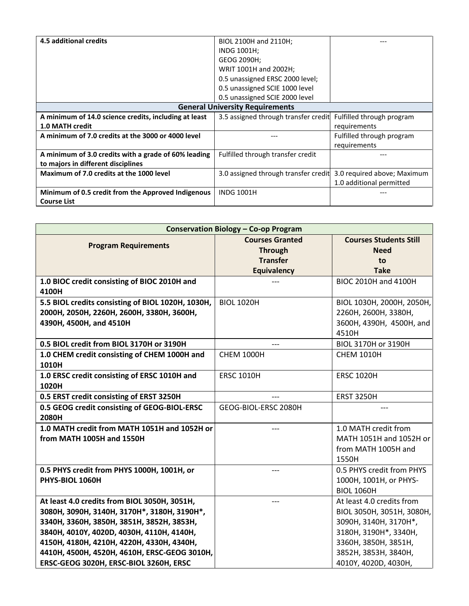| 4.5 additional credits                                | BIOL 2100H and 2110H;                  |                             |
|-------------------------------------------------------|----------------------------------------|-----------------------------|
|                                                       | INDG 1001H;                            |                             |
|                                                       | GEOG 2090H;                            |                             |
|                                                       | WRIT 1001H and 2002H;                  |                             |
|                                                       | 0.5 unassigned ERSC 2000 level;        |                             |
|                                                       | 0.5 unassigned SCIE 1000 level         |                             |
|                                                       | 0.5 unassigned SCIE 2000 level         |                             |
|                                                       | <b>General University Requirements</b> |                             |
| A minimum of 14.0 science credits, including at least | 3.5 assigned through transfer credit   | Fulfilled through program   |
| 1.0 MATH credit                                       |                                        | requirements                |
| A minimum of 7.0 credits at the 3000 or 4000 level    |                                        | Fulfilled through program   |
|                                                       |                                        | requirements                |
| A minimum of 3.0 credits with a grade of 60% leading  | Fulfilled through transfer credit      |                             |
| to majors in different disciplines                    |                                        |                             |
| Maximum of 7.0 credits at the 1000 level              | 3.0 assigned through transfer credit   | 3.0 required above; Maximum |
|                                                       |                                        | 1.0 additional permitted    |
| Minimum of 0.5 credit from the Approved Indigenous    | <b>INDG 1001H</b>                      |                             |
| <b>Course List</b>                                    |                                        |                             |

| <b>Conservation Biology - Co-op Program</b>           |                                          |                                              |
|-------------------------------------------------------|------------------------------------------|----------------------------------------------|
| <b>Program Requirements</b>                           | <b>Courses Granted</b><br><b>Through</b> | <b>Courses Students Still</b><br><b>Need</b> |
|                                                       | <b>Transfer</b>                          | to                                           |
|                                                       | <b>Equivalency</b>                       | <b>Take</b>                                  |
| 1.0 BIOC credit consisting of BIOC 2010H and<br>4100H |                                          | BIOC 2010H and 4100H                         |
| 5.5 BIOL credits consisting of BIOL 1020H, 1030H,     | <b>BIOL 1020H</b>                        | BIOL 1030H, 2000H, 2050H,                    |
| 2000Н, 2050Н, 2260Н, 2600Н, 3380Н, 3600Н,             |                                          | 2260Н, 2600Н, 3380Н,                         |
| 4390H, 4500H, and 4510H                               |                                          | 3600H, 4390H, 4500H, and                     |
|                                                       |                                          | 4510H                                        |
| 0.5 BIOL credit from BIOL 3170H or 3190H              |                                          | BIOL 3170H or 3190H                          |
| 1.0 CHEM credit consisting of CHEM 1000H and          | <b>CHEM 1000H</b>                        | <b>CHEM 1010H</b>                            |
| 1010H                                                 |                                          |                                              |
| 1.0 ERSC credit consisting of ERSC 1010H and<br>1020H | <b>ERSC 1010H</b>                        | <b>ERSC 1020H</b>                            |
| 0.5 ERST credit consisting of ERST 3250H              |                                          | <b>ERST 3250H</b>                            |
| 0.5 GEOG credit consisting of GEOG-BIOL-ERSC<br>2080H | GEOG-BIOL-ERSC 2080H                     |                                              |
| 1.0 MATH credit from MATH 1051H and 1052H or          |                                          | 1.0 MATH credit from                         |
| from MATH 1005H and 1550H                             |                                          | MATH 1051H and 1052H or                      |
|                                                       |                                          | from MATH 1005H and                          |
|                                                       |                                          | 1550H                                        |
| 0.5 PHYS credit from PHYS 1000H, 1001H, or            | ---                                      | 0.5 PHYS credit from PHYS                    |
| PHYS-BIOL 1060H                                       |                                          | 1000H, 1001H, or PHYS-                       |
|                                                       |                                          | <b>BIOL 1060H</b>                            |
| At least 4.0 credits from BIOL 3050H, 3051H,          | ---                                      | At least 4.0 credits from                    |
| 3080Н, 3090Н, 3140Н, 3170Н*, 3180Н, 3190Н*,           |                                          | BIOL 3050H, 3051H, 3080H,                    |
| 3340Н, 3360Н, 3850Н, 3851Н, 3852Н, 3853Н,             |                                          | 3090H, 3140H, 3170H*,                        |
| 3840H, 4010Y, 4020D, 4030H, 4110H, 4140H,             |                                          | 3180H, 3190H*, 3340H,                        |
| 4150Н, 4180Н, 4210Н, 4220Н, 4330Н, 4340Н,             |                                          | 3360H, 3850H, 3851H,                         |
| 4410H, 4500H, 4520H, 4610H, ERSC-GEOG 3010H,          |                                          | 3852H, 3853H, 3840H,                         |
| ERSC-GEOG 3020H, ERSC-BIOL 3260H, ERSC                |                                          | 4010Y, 4020D, 4030H,                         |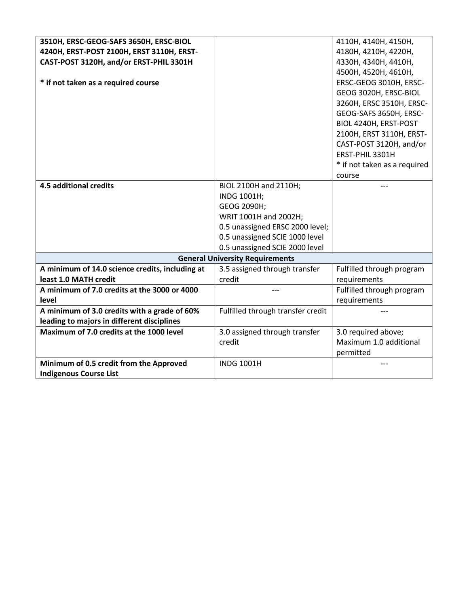| 3510H, ERSC-GEOG-SAFS 3650H, ERSC-BIOL          |                                        | 4110H, 4140H, 4150H,         |
|-------------------------------------------------|----------------------------------------|------------------------------|
| 4240H, ERST-POST 2100H, ERST 3110H, ERST-       |                                        | 4180H, 4210H, 4220H,         |
| CAST-POST 3120H, and/or ERST-PHIL 3301H         |                                        | 4330H, 4340H, 4410H,         |
|                                                 |                                        | 4500H, 4520H, 4610H,         |
| * if not taken as a required course             |                                        | ERSC-GEOG 3010H, ERSC-       |
|                                                 |                                        | GEOG 3020H, ERSC-BIOL        |
|                                                 |                                        | 3260H, ERSC 3510H, ERSC-     |
|                                                 |                                        | GEOG-SAFS 3650H, ERSC-       |
|                                                 |                                        | BIOL 4240H, ERST-POST        |
|                                                 |                                        | 2100H, ERST 3110H, ERST-     |
|                                                 |                                        | CAST-POST 3120H, and/or      |
|                                                 |                                        | ERST-PHIL 3301H              |
|                                                 |                                        | * if not taken as a required |
|                                                 |                                        | course                       |
| 4.5 additional credits                          | BIOL 2100H and 2110H;                  |                              |
|                                                 | INDG 1001H;                            |                              |
|                                                 | GEOG 2090H;                            |                              |
|                                                 | WRIT 1001H and 2002H;                  |                              |
|                                                 | 0.5 unassigned ERSC 2000 level;        |                              |
|                                                 | 0.5 unassigned SCIE 1000 level         |                              |
|                                                 | 0.5 unassigned SCIE 2000 level         |                              |
|                                                 | <b>General University Requirements</b> |                              |
| A minimum of 14.0 science credits, including at | 3.5 assigned through transfer          | Fulfilled through program    |
| least 1.0 MATH credit                           | credit                                 | requirements                 |
| A minimum of 7.0 credits at the 3000 or 4000    |                                        | Fulfilled through program    |
| level                                           |                                        | requirements                 |
| A minimum of 3.0 credits with a grade of 60%    | Fulfilled through transfer credit      |                              |
| leading to majors in different disciplines      |                                        |                              |
| Maximum of 7.0 credits at the 1000 level        | 3.0 assigned through transfer          | 3.0 required above;          |
|                                                 | credit                                 | Maximum 1.0 additional       |
|                                                 |                                        | permitted                    |
| Minimum of 0.5 credit from the Approved         | <b>INDG 1001H</b>                      |                              |
| <b>Indigenous Course List</b>                   |                                        |                              |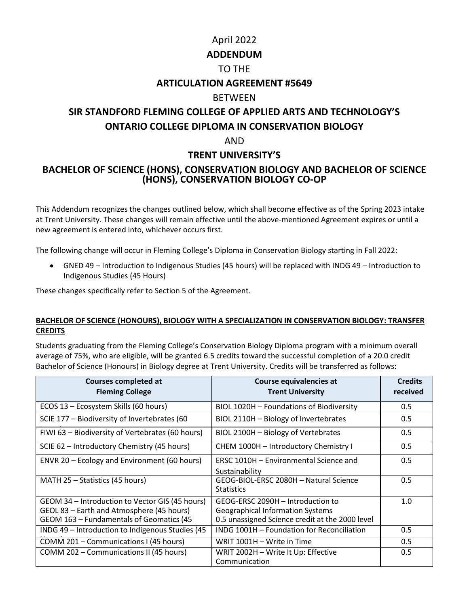# April 2022 **ADDENDUM** TO THE **ARTICULATION AGREEMENT #5649** BETWEEN **SIR STANDFORD FLEMING COLLEGE OF APPLIED ARTS AND TECHNOLOGY'S ONTARIO COLLEGE DIPLOMA IN CONSERVATION BIOLOGY** AND **TRENT UNIVERSITY'S**

### **BACHELOR OF SCIENCE (HONS), CONSERVATION BIOLOGY AND BACHELOR OF SCIENCE (HONS), CONSERVATION BIOLOGY CO-OP**

This Addendum recognizes the changes outlined below, which shall become effective as of the Spring 2023 intake at Trent University. These changes will remain effective until the above-mentioned Agreement expires or until a new agreement is entered into, whichever occurs first.

The following change will occur in Fleming College's Diploma in Conservation Biology starting in Fall 2022:

• GNED 49 – Introduction to Indigenous Studies (45 hours) will be replaced with INDG 49 – Introduction to Indigenous Studies (45 Hours)

These changes specifically refer to Section 5 of the Agreement.

#### **BACHELOR OF SCIENCE (HONOURS), BIOLOGY WITH A SPECIALIZATION IN CONSERVATION BIOLOGY: TRANSFER CREDITS**

Students graduating from the Fleming College's Conservation Biology Diploma program with a minimum overall average of 75%, who are eligible, will be granted 6.5 credits toward the successful completion of a 20.0 credit Bachelor of Science (Honours) in Biology degree at Trent University. Credits will be transferred as follows:

| <b>Courses completed at</b><br><b>Fleming College</b>                                                                                    | Course equivalencies at<br><b>Trent University</b>                                                                              | <b>Credits</b><br>received |
|------------------------------------------------------------------------------------------------------------------------------------------|---------------------------------------------------------------------------------------------------------------------------------|----------------------------|
| ECOS 13 - Ecosystem Skills (60 hours)                                                                                                    | BIOL 1020H - Foundations of Biodiversity                                                                                        | 0.5                        |
| SCIE 177 – Biodiversity of Invertebrates (60                                                                                             | BIOL 2110H - Biology of Invertebrates                                                                                           | 0.5                        |
| FIWI 63 - Biodiversity of Vertebrates (60 hours)                                                                                         | BIOL 2100H - Biology of Vertebrates                                                                                             | 0.5                        |
| SCIE 62 - Introductory Chemistry (45 hours)                                                                                              | CHEM 1000H - Introductory Chemistry I                                                                                           | 0.5                        |
| ENVR 20 - Ecology and Environment (60 hours)                                                                                             | ERSC 1010H - Environmental Science and<br>Sustainability                                                                        | 0.5                        |
| MATH 25 – Statistics (45 hours)                                                                                                          | GEOG-BIOL-ERSC 2080H - Natural Science<br><b>Statistics</b>                                                                     | 0.5                        |
| GEOM 34 – Introduction to Vector GIS (45 hours)<br>GEOL 83 - Earth and Atmosphere (45 hours)<br>GEOM 163 - Fundamentals of Geomatics (45 | GEOG-ERSC 2090H - Introduction to<br><b>Geographical Information Systems</b><br>0.5 unassigned Science credit at the 2000 level | 1.0                        |
| INDG 49 - Introduction to Indigenous Studies (45                                                                                         | INDG 1001H - Foundation for Reconciliation                                                                                      | 0.5                        |
| COMM 201 - Communications I (45 hours)                                                                                                   | WRIT 1001H - Write in Time                                                                                                      | 0.5                        |
| COMM 202 - Communications II (45 hours)                                                                                                  | WRIT 2002H - Write It Up: Effective<br>Communication                                                                            | 0.5                        |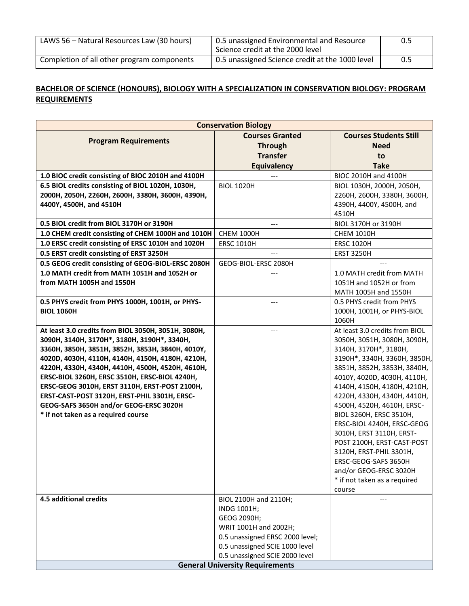| LAWS 56 - Natural Resources Law (30 hours) | 0.5 unassigned Environmental and Resource<br>Science credit at the 2000 level | 0.5 |
|--------------------------------------------|-------------------------------------------------------------------------------|-----|
| Completion of all other program components | 0.5 unassigned Science credit at the 1000 level                               | 0.5 |

#### **BACHELOR OF SCIENCE (HONOURS), BIOLOGY WITH A SPECIALIZATION IN CONSERVATION BIOLOGY: PROGRAM REQUIREMENTS**

| <b>Conservation Biology</b>                                                   |                                                                  |                                                       |
|-------------------------------------------------------------------------------|------------------------------------------------------------------|-------------------------------------------------------|
|                                                                               | <b>Courses Granted</b>                                           | <b>Courses Students Still</b>                         |
| <b>Program Requirements</b>                                                   | <b>Through</b>                                                   | <b>Need</b>                                           |
|                                                                               | <b>Transfer</b>                                                  | to                                                    |
|                                                                               | <b>Equivalency</b>                                               | <b>Take</b>                                           |
| 1.0 BIOC credit consisting of BIOC 2010H and 4100H                            |                                                                  | BIOC 2010H and 4100H                                  |
| 6.5 BIOL credits consisting of BIOL 1020H, 1030H,                             | <b>BIOL 1020H</b>                                                | BIOL 1030H, 2000H, 2050H,                             |
| 2000Н, 2050Н, 2260Н, 2600Н, 3380Н, 3600Н, 4390Н,                              |                                                                  | 2260Н, 2600Н, 3380Н, 3600Н,                           |
| 4400Y, 4500H, and 4510H                                                       |                                                                  | 4390H, 4400Y, 4500H, and                              |
|                                                                               |                                                                  | 4510H                                                 |
| 0.5 BIOL credit from BIOL 3170H or 3190H                                      | ---                                                              | BIOL 3170H or 3190H                                   |
| 1.0 CHEM credit consisting of CHEM 1000H and 1010H                            | <b>CHEM 1000H</b>                                                | <b>CHEM 1010H</b>                                     |
| 1.0 ERSC credit consisting of ERSC 1010H and 1020H                            | <b>ERSC 1010H</b>                                                | <b>ERSC 1020H</b>                                     |
| 0.5 ERST credit consisting of ERST 3250H                                      |                                                                  | <b>ERST 3250H</b>                                     |
| 0.5 GEOG credit consisting of GEOG-BIOL-ERSC 2080H                            | GEOG-BIOL-ERSC 2080H                                             |                                                       |
| 1.0 MATH credit from MATH 1051H and 1052H or<br>from MATH 1005H and 1550H     |                                                                  | 1.0 MATH credit from MATH<br>1051H and 1052H or from  |
|                                                                               |                                                                  | MATH 1005H and 1550H                                  |
| 0.5 PHYS credit from PHYS 1000H, 1001H, or PHYS-                              |                                                                  | 0.5 PHYS credit from PHYS                             |
| <b>BIOL 1060H</b>                                                             |                                                                  | 1000H, 1001H, or PHYS-BIOL                            |
|                                                                               |                                                                  | 1060H                                                 |
| At least 3.0 credits from BIOL 3050H, 3051H, 3080H,                           |                                                                  | At least 3.0 credits from BIOL                        |
| 3090Н, 3140Н, 3170Н*, 3180Н, 3190Н*, 3340Н,                                   |                                                                  | 3050H, 3051H, 3080H, 3090H,                           |
| 3360H, 3850H, 3851H, 3852H, 3853H, 3840H, 4010Y,                              |                                                                  | 3140H, 3170H*, 3180H,                                 |
| 4020D, 4030H, 4110H, 4140H, 4150H, 4180H, 4210H,                              |                                                                  | 3190H*, 3340H, 3360H, 3850H,                          |
| 4220Н, 4330Н, 4340Н, 4410Н, 4500Н, 4520Н, 4610Н,                              |                                                                  | 3851H, 3852H, 3853H, 3840H,                           |
| ERSC-BIOL 3260H, ERSC 3510H, ERSC-BIOL 4240H,                                 |                                                                  | 4010Y, 4020D, 4030H, 4110H,                           |
| ERSC-GEOG 3010H, ERST 3110H, ERST-POST 2100H,                                 |                                                                  | 4140H, 4150H, 4180H, 4210H,                           |
| ERST-CAST-POST 3120H, ERST-PHIL 3301H, ERSC-                                  |                                                                  | 4220H, 4330H, 4340H, 4410H,                           |
| GEOG-SAFS 3650H and/or GEOG-ERSC 3020H<br>* if not taken as a required course |                                                                  | 4500H, 4520H, 4610H, ERSC-<br>BIOL 3260H, ERSC 3510H, |
|                                                                               |                                                                  | ERSC-BIOL 4240H, ERSC-GEOG                            |
|                                                                               |                                                                  | 3010H, ERST 3110H, ERST-                              |
|                                                                               |                                                                  | POST 2100H, ERST-CAST-POST                            |
|                                                                               |                                                                  | 3120H, ERST-PHIL 3301H,                               |
|                                                                               |                                                                  | ERSC-GEOG-SAFS 3650H                                  |
|                                                                               |                                                                  | and/or GEOG-ERSC 3020H                                |
|                                                                               |                                                                  | * if not taken as a required                          |
|                                                                               |                                                                  | course                                                |
| <b>4.5 additional credits</b>                                                 | BIOL 2100H and 2110H;                                            | ---                                                   |
|                                                                               | INDG 1001H;                                                      |                                                       |
|                                                                               | GEOG 2090H;                                                      |                                                       |
|                                                                               | WRIT 1001H and 2002H;                                            |                                                       |
|                                                                               | 0.5 unassigned ERSC 2000 level;                                  |                                                       |
|                                                                               | 0.5 unassigned SCIE 1000 level<br>0.5 unassigned SCIE 2000 level |                                                       |
|                                                                               |                                                                  |                                                       |
| <b>General University Requirements</b>                                        |                                                                  |                                                       |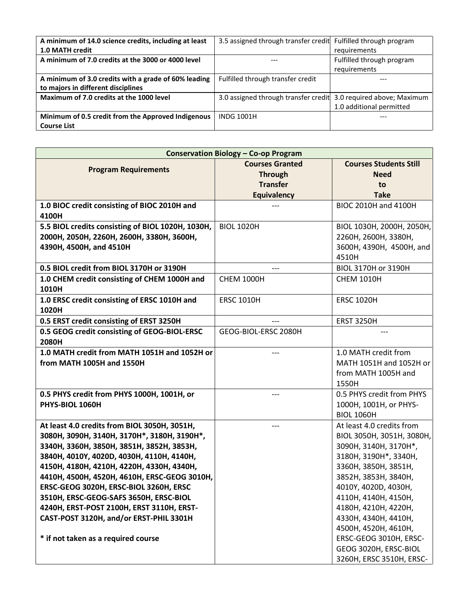| A minimum of 14.0 science credits, including at least | 3.5 assigned through transfer credit Fulfilled through program   |                           |
|-------------------------------------------------------|------------------------------------------------------------------|---------------------------|
| 1.0 MATH credit                                       |                                                                  | requirements              |
| A minimum of 7.0 credits at the 3000 or 4000 level    | ---                                                              | Fulfilled through program |
|                                                       |                                                                  | requirements              |
| A minimum of 3.0 credits with a grade of 60% leading  | Fulfilled through transfer credit                                | ---                       |
| to majors in different disciplines                    |                                                                  |                           |
| Maximum of 7.0 credits at the 1000 level              | 3.0 assigned through transfer credit 3.0 required above; Maximum |                           |
|                                                       |                                                                  | 1.0 additional permitted  |
| Minimum of 0.5 credit from the Approved Indigenous    | <b>INDG 1001H</b>                                                |                           |
| <b>Course List</b>                                    |                                                                  |                           |

| <b>Conservation Biology - Co-op Program</b>           |                        |                               |
|-------------------------------------------------------|------------------------|-------------------------------|
|                                                       | <b>Courses Granted</b> | <b>Courses Students Still</b> |
| <b>Program Requirements</b>                           | <b>Through</b>         | <b>Need</b>                   |
|                                                       | <b>Transfer</b>        | to                            |
|                                                       | <b>Equivalency</b>     | <b>Take</b>                   |
| 1.0 BIOC credit consisting of BIOC 2010H and          |                        | BIOC 2010H and 4100H          |
| 4100H                                                 |                        |                               |
| 5.5 BIOL credits consisting of BIOL 1020H, 1030H,     | <b>BIOL 1020H</b>      | BIOL 1030H, 2000H, 2050H,     |
| 2000Н, 2050Н, 2260Н, 2600Н, 3380Н, 3600Н,             |                        | 2260Н, 2600Н, 3380Н,          |
| 4390H, 4500H, and 4510H                               |                        | 3600H, 4390H, 4500H, and      |
|                                                       |                        | 4510H                         |
| 0.5 BIOL credit from BIOL 3170H or 3190H              | ---                    | BIOL 3170H or 3190H           |
| 1.0 CHEM credit consisting of CHEM 1000H and          | <b>CHEM 1000H</b>      | <b>CHEM 1010H</b>             |
| 1010H                                                 |                        |                               |
| 1.0 ERSC credit consisting of ERSC 1010H and          | <b>ERSC 1010H</b>      | <b>ERSC 1020H</b>             |
| 1020H                                                 |                        |                               |
| 0.5 ERST credit consisting of ERST 3250H              |                        | <b>ERST 3250H</b>             |
| 0.5 GEOG credit consisting of GEOG-BIOL-ERSC<br>2080H | GEOG-BIOL-ERSC 2080H   |                               |
| 1.0 MATH credit from MATH 1051H and 1052H or          | ---                    | 1.0 MATH credit from          |
| from MATH 1005H and 1550H                             |                        | MATH 1051H and 1052H or       |
|                                                       |                        | from MATH 1005H and           |
|                                                       |                        | 1550H                         |
| 0.5 PHYS credit from PHYS 1000H, 1001H, or            | ---                    | 0.5 PHYS credit from PHYS     |
| PHYS-BIOL 1060H                                       |                        | 1000H, 1001H, or PHYS-        |
|                                                       |                        | <b>BIOL 1060H</b>             |
| At least 4.0 credits from BIOL 3050H, 3051H,          |                        | At least 4.0 credits from     |
| 3080Н, 3090Н, 3140Н, 3170Н*, 3180Н, 3190Н*,           |                        | BIOL 3050H, 3051H, 3080H,     |
| 3340H, 3360H, 3850H, 3851H, 3852H, 3853H,             |                        | 3090H, 3140H, 3170H*,         |
| 3840H, 4010Y, 4020D, 4030H, 4110H, 4140H,             |                        | 3180H, 3190H*, 3340H,         |
| 4150Н, 4180Н, 4210Н, 4220Н, 4330Н, 4340Н,             |                        | 3360H, 3850H, 3851H,          |
| 4410H, 4500H, 4520H, 4610H, ERSC-GEOG 3010H,          |                        | 3852H, 3853H, 3840H,          |
| ERSC-GEOG 3020H, ERSC-BIOL 3260H, ERSC                |                        | 4010Y, 4020D, 4030H,          |
| 3510H, ERSC-GEOG-SAFS 3650H, ERSC-BIOL                |                        | 4110H, 4140H, 4150H,          |
| 4240H, ERST-POST 2100H, ERST 3110H, ERST-             |                        | 4180H, 4210H, 4220H,          |
| CAST-POST 3120H, and/or ERST-PHIL 3301H               |                        | 4330H, 4340H, 4410H,          |
|                                                       |                        | 4500H, 4520H, 4610H,          |
| * if not taken as a required course                   |                        | ERSC-GEOG 3010H, ERSC-        |
|                                                       |                        | GEOG 3020H, ERSC-BIOL         |
|                                                       |                        | 3260H, ERSC 3510H, ERSC-      |